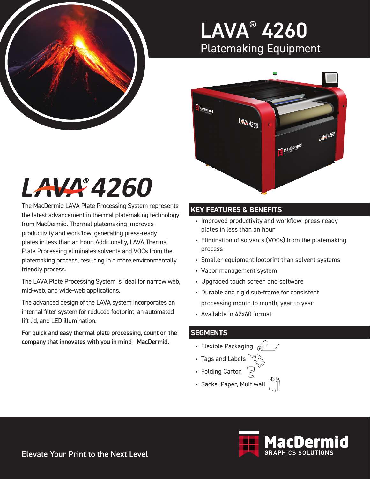

### LAVA® 4260 Platemaking Equipment



# LAVA 4260

The MacDermid LAVA Plate Processing System represents the latest advancement in thermal platemaking technology from MacDermid. Thermal platemaking improves productivity and workflow, generating press-ready plates in less than an hour. Additionally, LAVA Thermal Plate Processing eliminates solvents and VOCs from the platemaking process, resulting in a more environmentally friendly process.

The LAVA Plate Processing System is ideal for narrow web, mid-web, and wide-web applications.

The advanced design of the LAVA system incorporates an internal filter system for reduced footprint, an automated lift lid, and LED illumination.

For quick and easy thermal plate processing, count on the company that innovates with you in mind - MacDermid.

### **KEY FEATURES & BENEFITS**

- Improved productivity and workflow; press-ready plates in less than an hour
- Elimination of solvents (VOCs) from the platemaking process
- Smaller equipment footprint than solvent systems
- Vapor management system
- Upgraded touch screen and software
- Durable and rigid sub-frame for consistent processing month to month, year to year
- Available in 42x60 format

#### **SEGMENTS**

- Flexible Packaging  $\mathbb{Z}$
- Tags and Labels
- Folding Carton
- Sacks, Paper, Multiwall